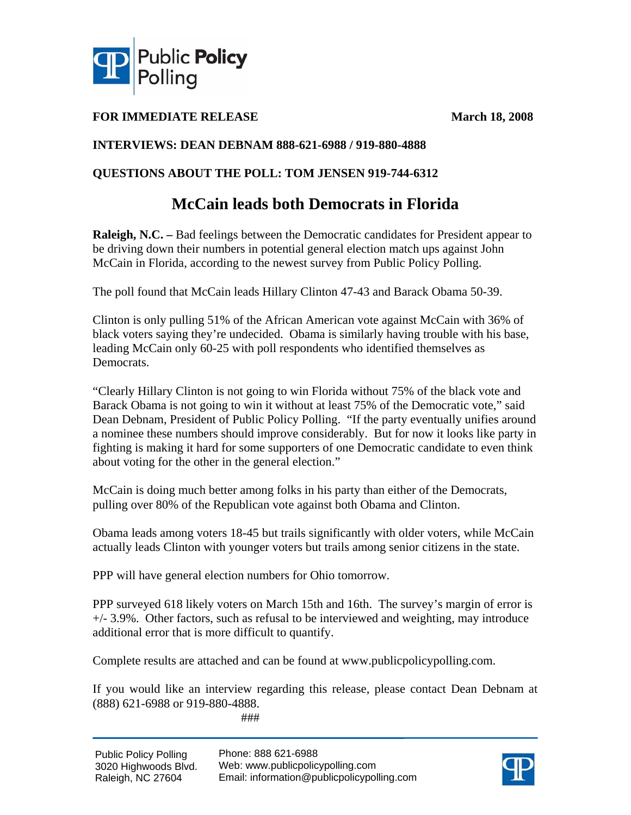

### **FOR IMMEDIATE RELEASE March 18, 2008**

### **INTERVIEWS: DEAN DEBNAM 888-621-6988 / 919-880-4888**

### **QUESTIONS ABOUT THE POLL: TOM JENSEN 919-744-6312**

## **McCain leads both Democrats in Florida**

**Raleigh, N.C. –** Bad feelings between the Democratic candidates for President appear to be driving down their numbers in potential general election match ups against John McCain in Florida, according to the newest survey from Public Policy Polling.

The poll found that McCain leads Hillary Clinton 47-43 and Barack Obama 50-39.

Clinton is only pulling 51% of the African American vote against McCain with 36% of black voters saying they're undecided. Obama is similarly having trouble with his base, leading McCain only 60-25 with poll respondents who identified themselves as Democrats.

"Clearly Hillary Clinton is not going to win Florida without 75% of the black vote and Barack Obama is not going to win it without at least 75% of the Democratic vote," said Dean Debnam, President of Public Policy Polling. "If the party eventually unifies around a nominee these numbers should improve considerably. But for now it looks like party in fighting is making it hard for some supporters of one Democratic candidate to even think about voting for the other in the general election."

McCain is doing much better among folks in his party than either of the Democrats, pulling over 80% of the Republican vote against both Obama and Clinton.

Obama leads among voters 18-45 but trails significantly with older voters, while McCain actually leads Clinton with younger voters but trails among senior citizens in the state.

PPP will have general election numbers for Ohio tomorrow.

PPP surveyed 618 likely voters on March 15th and 16th. The survey's margin of error is +/- 3.9%. Other factors, such as refusal to be interviewed and weighting, may introduce additional error that is more difficult to quantify.

Complete results are attached and can be found at www.publicpolicypolling.com.

If you would like an interview regarding this release, please contact Dean Debnam at (888) 621-6988 or 919-880-4888.

###

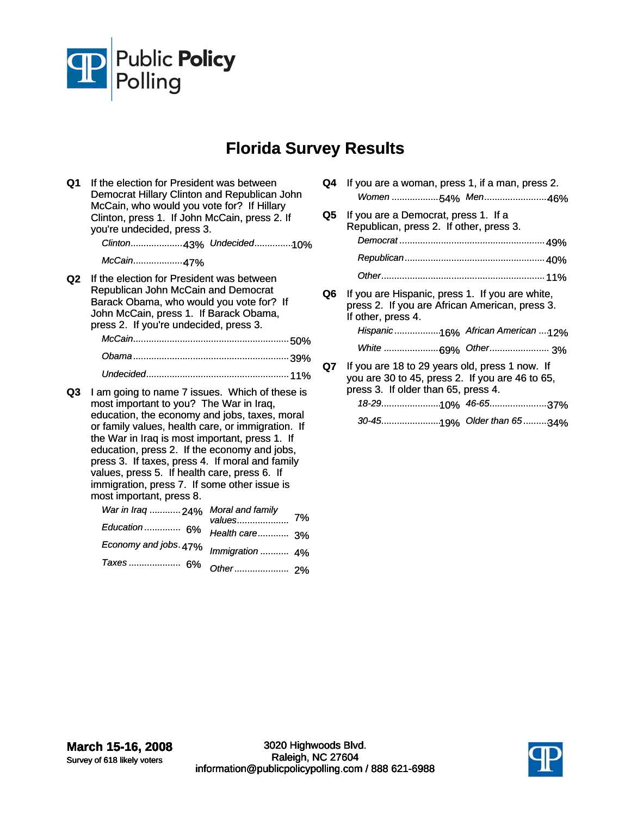

# **Florida Survey Results**

- **Q1** If the election for President was between Democrat Hillary Clinton and Republican John McCain, who would you vote for? If Hillary Clinton, press 1. If John McCain, press 2. If you're undecided, press 3. *Clinton*..................... 43% *Undecided*............... 10% *McCain*.................... 47% **Q2** If the election for President was between Republican John McCain and Democrat Barack Obama, who would you vote for? If John McCain, press 1. If Barack Obama, press 2. If you're undecided, press 3. *McCain*............................................................ 50% *Obama*............................................................ 39% *Undecided*....................................................... 11% **Q3** I am going to name 7 issues. Which of these is most important to you? The War in Iraq, education, the economy and jobs, taxes, moral or family values, health care, or immigration. If the War in Iraq is most important, press 1. If education, press 2. If the economy and jobs, press 3. If taxes, press 4. If moral and family values, press 5. If health care, press 6. If immigration, press 7. If some other issue is most important, press 8. *War in Iraq* ............ 24% *Education* .............. 6% *Economy and jobs*. 47% *Taxes* .................... 6% 7% *Moral and family values*.................... *Health care*............ 3% *Immigration* ........... 4% *Other*..................... 2%
	- **Q4** If you are a woman, press 1, if a man, press 2. *Women* ................... 54% *Men*......................... 46%
	- **Q5** If you are a Democrat, press 1. If a Republican, press 2. If other, press 3. *Democrat* ........................................................ 49% *Republican*...................................................... 40% *Other*............................................................... 11%
	- **Q6** If you are Hispanic, press 1. If you are white, press 2. If you are African American, press 3. If other, press 4. *Hispanic* .................. 16% *African American* .... 12% *White* ...................... 69% *Other*....................... 3% **Q7** If you are 18 to 29 years old, press 1 now. If you are 30 to 45, press 2. If you are 46 to 65, press 3. If older than 65, press 4.

*30-45*....................... 19% *Older than 65*.......... 34%

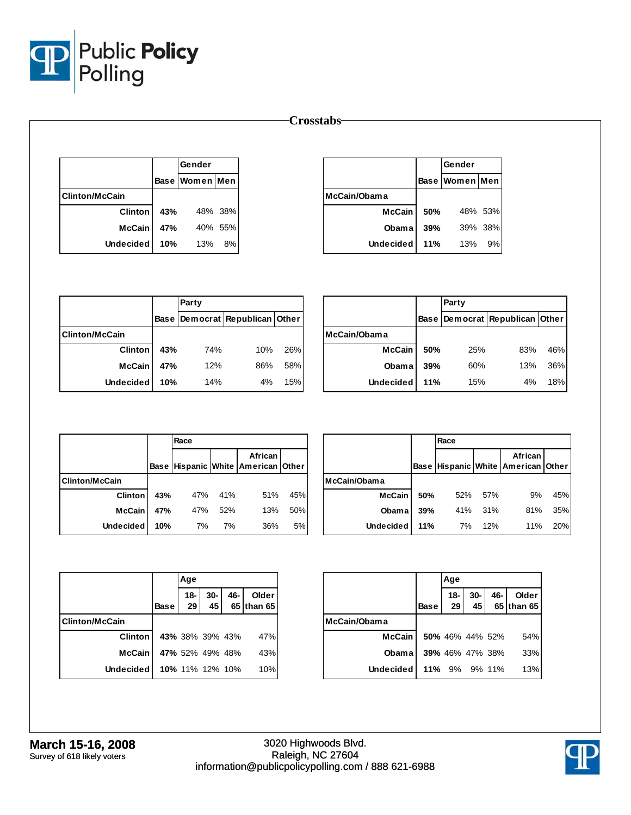

#### **Crosstabs**

|                       |     | Gender         |         |
|-----------------------|-----|----------------|---------|
|                       |     | Base Women Men |         |
| <b>Clinton/McCain</b> |     |                |         |
| <b>Clinton</b>        | 43% |                | 48% 38% |
| <b>McCain</b>         | 47% |                | 40% 55% |
| <b>Undecided</b>      | 10% | 13%            | 8%      |

|               |     | Gender                |         |  |
|---------------|-----|-----------------------|---------|--|
|               |     | <b>Base Women Men</b> |         |  |
| McCain/Obama  |     |                       |         |  |
| <b>McCain</b> | 50% |                       | 48% 53% |  |
| <b>Obama</b>  | 39% |                       | 39% 38% |  |
| Undecided     | 11% | 13%                   | 9%      |  |

|                        |     | Party |                                |     |  |  |  |
|------------------------|-----|-------|--------------------------------|-----|--|--|--|
|                        |     |       | Base Democrat Republican Other |     |  |  |  |
| <b>IClinton/McCain</b> |     |       |                                |     |  |  |  |
| <b>Clinton</b>         | 43% | 74%   | 10%                            | 26% |  |  |  |
| <b>McCain</b>          | 47% | 12%   | 86%                            | 58% |  |  |  |
| <b>Undecided</b>       | 10% | 14%   | 4%                             | 15% |  |  |  |

|                  |     | Party |                                      |     |  |
|------------------|-----|-------|--------------------------------------|-----|--|
|                  |     |       | Base   Democrat   Republican   Other |     |  |
| McCain/Obama     |     |       |                                      |     |  |
| <b>McCain</b>    | 50% | 25%   | 83%                                  | 46% |  |
| Obama            | 39% | 60%   | 13%                                  | 36% |  |
| <b>Undecided</b> | 11% | 15%   | 4%                                   | 18% |  |

|                       |     | Race |     |                                               |     |  |  |  |  |
|-----------------------|-----|------|-----|-----------------------------------------------|-----|--|--|--|--|
|                       |     |      |     | African<br>Base Hispanic White American Other |     |  |  |  |  |
| <b>Clinton/McCain</b> |     |      |     |                                               |     |  |  |  |  |
| <b>Clinton</b>        | 43% | 47%  | 41% | 51%                                           | 45% |  |  |  |  |
| <b>McCain</b>         | 47% | 47%  | 52% | 13%                                           | 50% |  |  |  |  |
| <b>Undecided</b>      | 10% | 7%   | 7%  | 36%                                           | 5%  |  |  |  |  |

|                  |     | Race |     |                                               |     |  |  |  |  |
|------------------|-----|------|-----|-----------------------------------------------|-----|--|--|--|--|
|                  |     |      |     | African<br>Base Hispanic White American Other |     |  |  |  |  |
| McCain/Obama     |     |      |     |                                               |     |  |  |  |  |
| <b>McCain</b>    | 50% | 52%  | 57% | 9%                                            | 45% |  |  |  |  |
| Obama            | 39% | 41%  | 31% | 81%                                           | 35% |  |  |  |  |
| <b>Undecided</b> | 11% | 7%   | 12% | 11%                                           | 20% |  |  |  |  |

|                       |             | Age             |              |        |                     |
|-----------------------|-------------|-----------------|--------------|--------|---------------------|
|                       | <b>Base</b> | 18-<br>29       | $30 -$<br>45 | $46 -$ | Older<br>65 than 65 |
| <b>Clinton/McCain</b> |             |                 |              |        |                     |
| <b>Clinton</b>        |             | 43% 38% 39% 43% |              |        | 47%                 |
| <b>McCain</b>         |             | 47% 52% 49% 48% |              |        | 43%                 |
| <b>Undecided</b>      |             | 10% 11% 12% 10% |              |        | 10%                 |

|              |             | Age                       |                        |                                                       |
|--------------|-------------|---------------------------|------------------------|-------------------------------------------------------|
|              | <b>Base</b> | $18 -$<br>29 <sub>1</sub> |                        | 30- $\begin{array}{ c c } 46-$ Older<br>45 65 than 65 |
| McCain/Obama |             |                           |                        |                                                       |
| McCain I     |             |                           | 50% 46% 44% 52%        | 54%                                                   |
| <b>Obama</b> |             |                           | <b>39%</b> 46% 47% 38% | 33%                                                   |
| Undecided l  |             |                           | 11% 9% 9% 11%          | 13%                                                   |